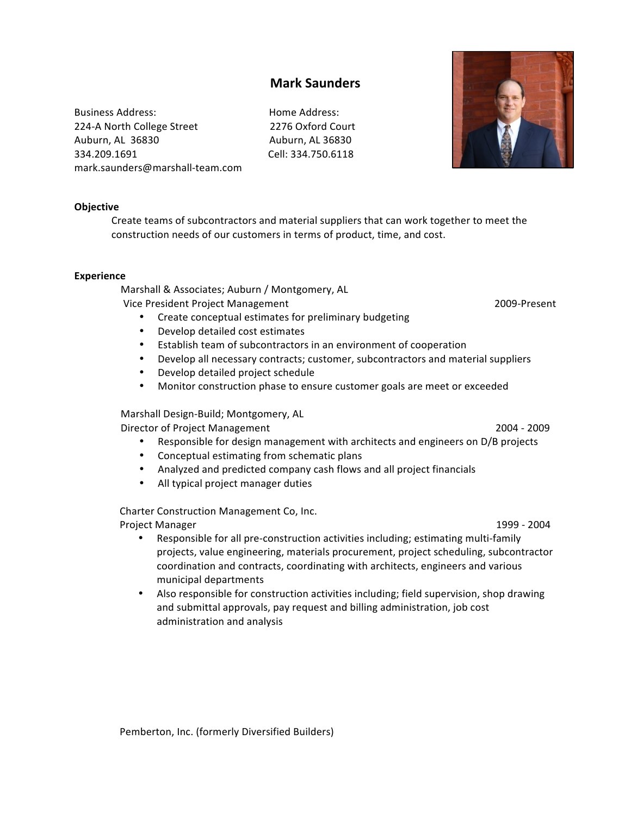# **Mark%Saunders**

Business Address:  $\qquad \qquad$  Home Address: 224-A North College Street 2276 Oxford Court Auburn,!AL!!36830! !!!!!!!!!!!!!!!!!!!!!!!!!!!!!!!!!!!!!!!!!Auburn,!AL!36830 334.209.1691!!!!!!!!!!!!!!!!!!!!!!!!!!!!!!!!!!!!!!!!!!!!!!!!!!!Cell:!334.750.6118 mark.saunders@marshall-team.com

# **Objective**

Create teams of subcontractors and material suppliers that can work together to meet the construction needs of our customers in terms of product, time, and cost.

### **Experience**

Marshall & Associates; Auburn / Montgomery, AL !Vice!President!Project!Management !!!!!!!!!!!!!!!!!!!!!!!!!!!!!!!!!!!!!!!!!!!!!!!!!!!!!!!!!!!!!!!!!!!!!!!!!!!!!!!20091Present

- Create conceptual estimates for preliminary budgeting
- Develop detailed cost estimates
- Establish team of subcontractors in an environment of cooperation
- Develop all necessary contracts; customer, subcontractors and material suppliers
- Develop detailed project schedule
- Monitor construction phase to ensure customer goals are meet or exceeded

Marshall Design-Build; Montgomery, AL

Director of Project Management 2004 - 2009

- Responsible for design management with architects and engineers on D/B projects
- Conceptual estimating from schematic plans
- Analyzed and predicted company cash flows and all project financials
- All typical project manager duties

Charter Construction Management Co, Inc. Project!Manager!!!!!!!!!!!!!!!!!!!!!!!!!!!!!!!!!!!!!!!!!!!!!!!!!!!!!!!!!!!!!!!!!!!!!!!!!!!!!!!!!!!!!!!!!!!!!!!!!!!!!!!!!!!!!!!!!!!!!1999 1 2004!

- Responsible for all pre-construction activities including; estimating multi-family projects, value engineering, materials procurement, project scheduling, subcontractor coordination and contracts, coordinating with architects, engineers and various municipal departments
- Also responsible for construction activities including; field supervision, shop drawing and submittal approvals, pay request and billing administration, job cost administration and analysis

Pemberton, Inc. (formerly Diversified Builders)

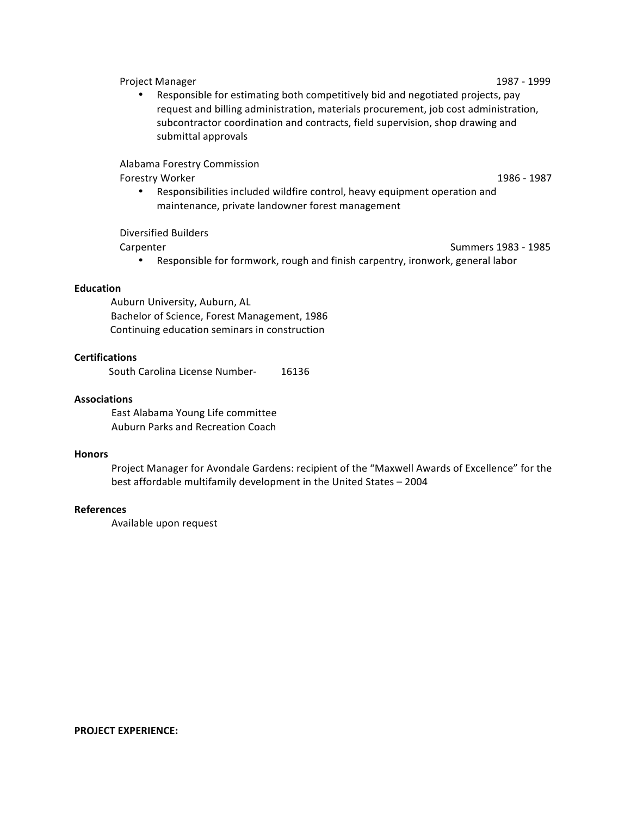#### Project!Manager!!!!!!!!!!!!!!!!!!!!!!!!!!!!!!!!!!!!!!!!!!!!!!!!!!!!!!!!!!!!!!!!!!!!!!!!!!!!!!!!!!!!!!!!!!!!!!!!!!!!!!!!!!!!!!!!!!!!!1987 1 1999

• Responsible for estimating both competitively bid and negotiated projects, pay request and billing administration, materials procurement, job cost administration, subcontractor coordination and contracts, field supervision, shop drawing and submittal approvals

Alabama Forestry Commission

# Forestry!Worker!!!!!!!!!!!!!!!!!!!!!!!!!!!!!!!!!!!!!!!!!!!!!!!!!!!!!!!!!!!!!!!!!!!!!!!!!!!!!!!!!!!!!!!!!!!!!!!!!!!!!!!!!!!!!!!!!!!!!!1986 1 1987

• Responsibilities included wildfire control, heavy equipment operation and maintenance, private landowner forest management

Diversified Builders

- Carpenter!!!!!!!!!!!!!!!!!!!!!!!!!!!!!!!!!!!!!!!!!!!!!!!!!!!!!!!!!!!!!!!!!!!!!!!!!!!!!!!!!!!!!!!!!!!!!!!!!!!!!!!!!!!!!! Summers!1983 1 1985
	- Responsible for formwork, rough and finish carpentry, ironwork, general labor

## **Education**

Auburn University, Auburn, AL Bachelor of Science, Forest Management, 1986 Continuing education seminars in construction

# **Certifications**

South Carolina License Number-<br>16136

## **Associations**

East Alabama Young Life committee Auburn Parks and Recreation Coach

## **Honors**

Project Manager for Avondale Gardens: recipient of the "Maxwell Awards of Excellence" for the best affordable multifamily development in the United States – 2004

# **References**

Available upon request

# **PROJECT EXPERIENCE:**